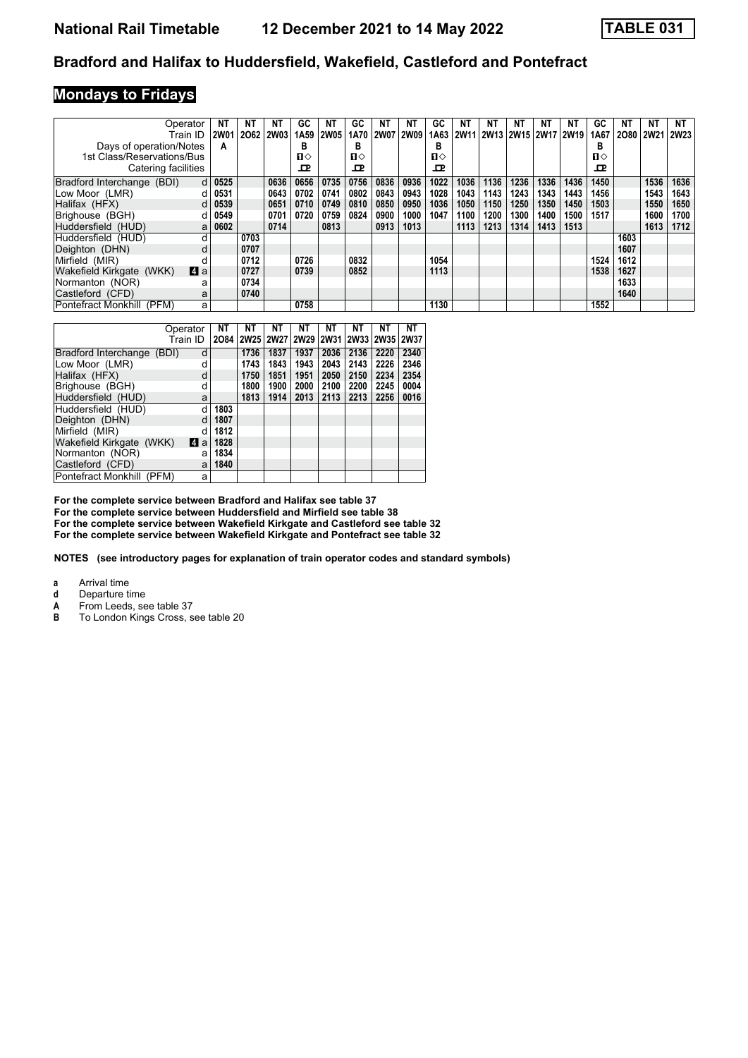#### **Bradford and Halifax to Huddersfield, Wakefield, Castleford and Pontefract**

# **Mondays to Fridays**

| Operator                            | <b>NT</b>   | NΤ   | <b>NT</b>   | GC   | ΝT          | GC   | NΤ          | ΝT          | GC   | ΝT          | ΝT   | ΝT   | ΝT                        | NΤ   | GC.  | NΤ   | NΤ          | NT          |
|-------------------------------------|-------------|------|-------------|------|-------------|------|-------------|-------------|------|-------------|------|------|---------------------------|------|------|------|-------------|-------------|
| Train ID                            | <b>2W01</b> | 2062 | <b>2W03</b> | 1A59 | <b>2W05</b> | 1A70 | <b>2W07</b> | <b>2W09</b> | 1A63 | <b>2W11</b> |      |      | 2W13   2W15   2W17   2W19 |      | 1A67 | 2080 | <b>2W21</b> | <b>2W23</b> |
| Days of operation/Notes             | A           |      |             | в    |             | в    |             |             | в    |             |      |      |                           |      | в    |      |             |             |
| 1st Class/Reservations/Bus          |             |      |             | п⇔   |             | п⇔   |             |             | п⇔   |             |      |      |                           |      | п⇔   |      |             |             |
| Catering facilities                 |             |      |             | ᇁ    |             | ᇁ    |             |             | ᇁ    |             |      |      |                           |      | œ    |      |             |             |
| Bradford Interchange (BDI)<br>d     | 0525        |      | 0636        | 0656 | 0735        | 0756 | 0836        | 0936        | 1022 | 1036        | 1136 | 1236 | 1336                      | 1436 | 1450 |      | 1536        | 1636        |
| Low Moor (LMR)                      | 0531        |      | 0643        | 0702 | 0741        | 0802 | 0843        | 0943        | 1028 | 1043        | 1143 | 1243 | 1343                      | 1443 | 1456 |      | 1543        | 1643        |
| Halifax (HFX)<br>d                  | 0539        |      | 0651        | 0710 | 0749        | 0810 | 0850        | 0950        | 1036 | 1050        | 1150 | 1250 | 1350                      | 1450 | 1503 |      | 1550        | 1650        |
| Brighouse (BGH)<br>d                | 0549        |      | 0701        | 0720 | 0759        | 0824 | 0900        | 1000        | 1047 | 1100        | 1200 | 1300 | 1400                      | 1500 | 1517 |      | 1600        | 1700        |
| Huddersfield (HUD)<br>a             | 0602        |      | 0714        |      | 0813        |      | 0913        | 1013        |      | 1113        | 1213 | 1314 | 1413                      | 1513 |      |      | 1613        | 1712        |
| Huddersfield (HUD)                  |             | 0703 |             |      |             |      |             |             |      |             |      |      |                           |      |      | 1603 |             |             |
| Deighton (DHN)                      |             | 0707 |             |      |             |      |             |             |      |             |      |      |                           |      |      | 1607 |             |             |
| Mirfield (MIR)                      |             | 0712 |             | 0726 |             | 0832 |             |             | 1054 |             |      |      |                           |      | 1524 | 1612 |             |             |
| ZI a<br>Wakefield Kirkgate<br>(WKK) |             | 0727 |             | 0739 |             | 0852 |             |             | 1113 |             |      |      |                           |      | 1538 | 1627 |             |             |
| Normanton (NOR)<br>а                |             | 0734 |             |      |             |      |             |             |      |             |      |      |                           |      |      | 1633 |             |             |
| Castleford (CFD)<br>a               |             | 0740 |             |      |             |      |             |             |      |             |      |      |                           |      |      | 1640 |             |             |
| Pontefract Monkhill (PFM)<br>a      |             |      |             | 0758 |             |      |             |             | 1130 |             |      |      |                           |      | 1552 |      |             |             |

|                            | Operator |   | <b>NT</b> | NΤ        | NΤ   | NΤ        | NΤ   | NΤ   | NΤ             | NΤ   |
|----------------------------|----------|---|-----------|-----------|------|-----------|------|------|----------------|------|
|                            | Train ID |   |           | 2084 2W25 |      | 2W27 2W29 | 2W31 |      | 2W33 2W35 2W37 |      |
| Bradford Interchange (BDI) |          | d |           | 1736      | 1837 | 1937      | 2036 | 2136 | 2220           | 2340 |
| Low Moor (LMR)             |          | d |           | 1743      | 1843 | 1943      | 2043 | 2143 | 2226           | 2346 |
| Halifax (HFX)              |          | d |           | 1750      | 1851 | 1951      | 2050 | 2150 | 2234           | 2354 |
| Brighouse (BGH)            |          | d |           | 1800      | 1900 | 2000      | 2100 | 2200 | 2245           | 0004 |
| Huddersfield (HUD)         |          | a |           | 1813      | 1914 | 2013      | 2113 | 2213 | 2256           | 0016 |
| Huddersfield (HUD)         |          | d | 1803      |           |      |           |      |      |                |      |
| Deighton (DHN)             |          | d | 1807      |           |      |           |      |      |                |      |
| Mirfield (MIR)             |          | d | 1812      |           |      |           |      |      |                |      |
| Wakefield Kirkgate (WKK)   | 4        | a | 1828      |           |      |           |      |      |                |      |
| Normanton (NOR)            |          | a | 1834      |           |      |           |      |      |                |      |
| Castleford (CFD)           |          | a | 1840      |           |      |           |      |      |                |      |
| Pontefract Monkhill (PFM)  |          | a |           |           |      |           |      |      |                |      |

**For the complete service between Bradford and Halifax see table For the complete service between Huddersfield and Mirfield see table**  For the complete service between Wakefield Kirkgate and Castleford see table 32 For the complete service between Wakefield Kirkgate and Pontefract see table 32

**NOTES (see introductory pages for explanation of train operator codes and standard symbols)**

**a** Arrival time

- **d** Departure time<br>**A** From Leeds, se
- **A** From Leeds, see table 37<br>**B** To London Kings Cross. s
- To London Kings Cross, see table 20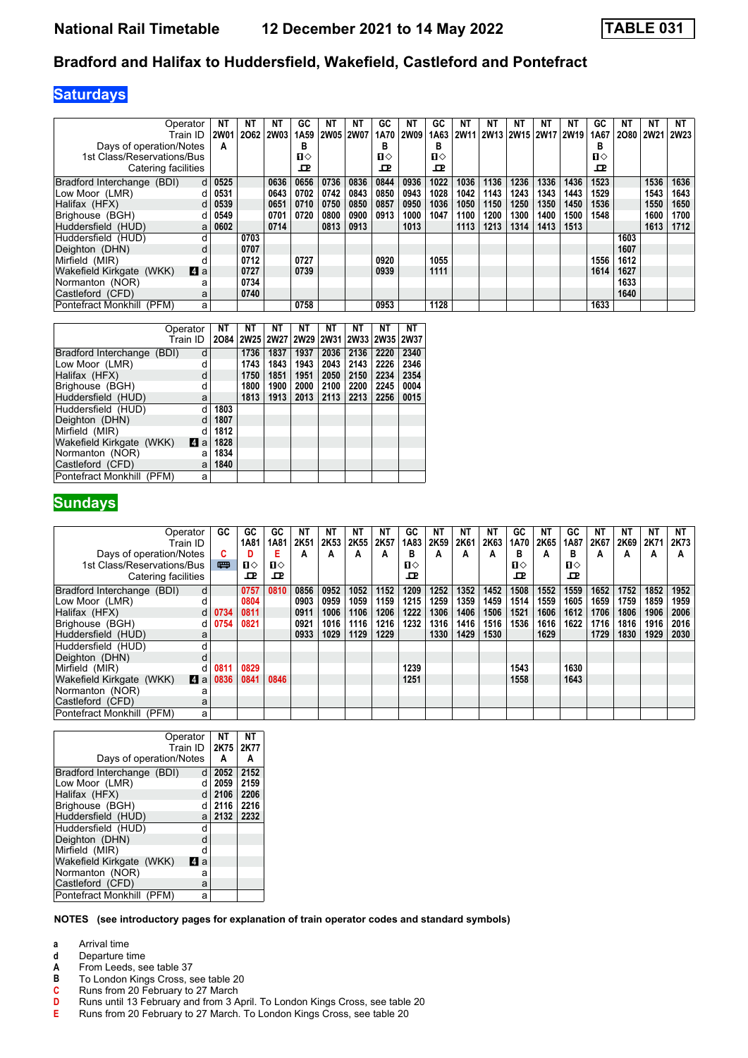#### **Bradford and Halifax to Huddersfield, Wakefield, Castleford and Pontefract**

# **Saturdays**

| Operator                                         | <b>NT</b>   | <b>NT</b> | NΤ          | GC               | ΝT   | NΤ          | GC           | <b>NT</b> | GC           | ΝT               | NΤ   | <b>NT</b> | ΝT                        | ΝT   | GC           | NΤ   | <b>NT</b>   | NΤ          |
|--------------------------------------------------|-------------|-----------|-------------|------------------|------|-------------|--------------|-----------|--------------|------------------|------|-----------|---------------------------|------|--------------|------|-------------|-------------|
| Train ID                                         | <b>2W01</b> | 2062      | <b>2W03</b> | 1A <sub>59</sub> | 2W05 | <b>2W07</b> | 1A70         | 2W09      | 1A63         | 2W <sub>11</sub> |      |           | 2W13   2W15   2W17   2W19 |      | 1A67         | 2080 | <b>2W21</b> | <b>2W23</b> |
| Days of operation/Notes                          | А           |           |             | в                |      |             | в            |           | в            |                  |      |           |                           |      | в            |      |             |             |
| 1st Class/Reservations/Bus                       |             |           |             | п⇔               |      |             | $\mathbf{u}$ |           | $\mathbf{u}$ |                  |      |           |                           |      | $\mathbf{u}$ |      |             |             |
| Catering facilities                              |             |           |             | ᇚ                |      |             | <b>D</b>     |           | ᇁ            |                  |      |           |                           |      | <b>D</b>     |      |             |             |
| Bradford Interchange (BDI)<br>d                  | 0525        |           | 0636        | 0656             | 0736 | 0836        | 0844         | 0936      | 1022         | 1036             | 1136 | 1236      | 1336                      | 1436 | 1523         |      | 1536        | 1636        |
| Low Moor (LMR)                                   | 0531        |           | 0643        | 0702             | 0742 | 0843        | 0850         | 0943      | 1028         | 1042             | 1143 | 1243      | 1343                      | 1443 | 1529         |      | 1543        | 1643        |
| Halifax (HFX)<br>d                               | 0539        |           | 0651        | 0710             | 0750 | 0850        | 0857         | 0950      | 1036         | 1050             | 1150 | 1250      | 1350                      | 1450 | 1536         |      | 1550        | 1650        |
| Brighouse (BGH)<br>п                             | 0549        |           | 0701        | 0720             | 0800 | 0900        | 0913         | 1000      | 1047         | 1100             | 1200 | 1300      | 1400                      | 1500 | 1548         |      | 1600        | 1700        |
| Huddersfield (HUD)<br>a                          | 0602        |           | 0714        |                  | 0813 | 0913        |              | 1013      |              | 1113             | 1213 | 1314      | 1413                      | 1513 |              |      | 1613        | 1712        |
| Huddersfield (HUD)                               |             | 0703      |             |                  |      |             |              |           |              |                  |      |           |                           |      |              | 1603 |             |             |
| Deighton (DHN)                                   |             | 0707      |             |                  |      |             |              |           |              |                  |      |           |                           |      |              | 1607 |             |             |
| Mirfield (MIR)                                   |             | 0712      |             | 0727             |      |             | 0920         |           | 1055         |                  |      |           |                           |      | 1556         | 1612 |             |             |
| <b>A</b> a<br><b>Wakefield Kirkgate</b><br>(WKK) |             | 0727      |             | 0739             |      |             | 0939         |           | 1111         |                  |      |           |                           |      | 1614         | 1627 |             |             |
| Normanton (NOR)<br>а                             |             | 0734      |             |                  |      |             |              |           |              |                  |      |           |                           |      |              | 1633 |             |             |
| Castleford (CFD)<br>a                            |             | 0740      |             |                  |      |             |              |           |              |                  |      |           |                           |      |              | 1640 |             |             |
| Pontefract Monkhill<br>(PFM)                     | a           |           |             | 0758             |      |             | 0953         |           | 1128         |                  |      |           |                           |      | 1633         |      |             |             |

|                            | Operator | NΤ   | NΤ   | NΤ   | NΤ                        | NΤ   | NΤ   | NΤ        | NΤ          |
|----------------------------|----------|------|------|------|---------------------------|------|------|-----------|-------------|
|                            | Train ID | 2084 |      |      | 2W25   2W27   2W29   2W31 |      |      | 2W33 2W35 | <b>2W37</b> |
| Bradford Interchange (BDI) | d        |      | 1736 | 1837 | 1937                      | 2036 | 2136 | 2220      | 2340        |
| Low Moor (LMR)             | d        |      | 1743 | 1843 | 1943                      | 2043 | 2143 | 2226      | 2346        |
| Halifax (HFX)              | d        |      | 1750 | 1851 | 1951                      | 2050 | 2150 | 2234      | 2354        |
| Brighouse (BGH)            | d        |      | 1800 | 1900 | 2000                      | 2100 | 2200 | 2245      | 0004        |
| Huddersfield (HUD)         | a        |      | 1813 | 1913 | 2013                      | 2113 | 2213 | 2256      | 0015        |
| Huddersfield (HUD)         | d        | 1803 |      |      |                           |      |      |           |             |
| Deiahton (DHN)             | d        | 1807 |      |      |                           |      |      |           |             |
| Mirfield (MIR)             | d        | 1812 |      |      |                           |      |      |           |             |
| Wakefield Kirkgate (WKK)   | 4<br>a   | 1828 |      |      |                           |      |      |           |             |
| Normanton (NOR)            | a        | 1834 |      |      |                           |      |      |           |             |
| Castleford (CFD)           | a        | 1840 |      |      |                           |      |      |           |             |
| Pontefract Monkhill (PFM)  | a        |      |      |      |                           |      |      |           |             |

### **Sundays**

| Operator                                           | GC.       | GC   | GC   | ΝT   | ΝT   | ΝT   | NΤ   | GC   | <b>NT</b> | ΝT   | NΤ   | GC   | NΤ   | GC   | NT   | NΤ   | NT   | NT   |
|----------------------------------------------------|-----------|------|------|------|------|------|------|------|-----------|------|------|------|------|------|------|------|------|------|
| Train ID                                           |           | 1A81 | 1A81 | 2K51 | 2K53 | 2K55 | 2K57 | 1A83 | 2K59      | 2K61 | 2K63 | 1A70 | 2K65 | 1A87 | 2K67 | 2K69 | 2K71 | 2K73 |
| Days of operation/Notes                            | G.        |      | Е    | А    | Α    | А    | A    | в    | A         | A    | А    | в    | А    | в    | А    | А    | А    | А    |
| 1st Class/Reservations/Bus                         | 罒         | ப⇔   | ்ப   |      |      |      |      | п⇔   |           |      |      | п⇔   |      | п⇔   |      |      |      |      |
| Catering facilities                                |           | ᇁ    | ᇁ    |      |      |      |      | ᇁ    |           |      |      | 굔    |      | ᇁ    |      |      |      |      |
| Bradford Interchange (BDI)                         | d         | 0757 | 0810 | 0856 | 0952 | 1052 | 1152 | 1209 | 1252      | 1352 | 1452 | 1508 | 1552 | 1559 | 1652 | 1752 | 1852 | 1952 |
| Low Moor (LMR)                                     |           | 0804 |      | 0903 | 0959 | 1059 | 1159 | 1215 | 1259      | 1359 | 1459 | 1514 | 1559 | 1605 | 1659 | 1759 | 1859 | 1959 |
| Halifax (HFX)                                      | 0734<br>d | 0811 |      | 0911 | 1006 | 1106 | 1206 | 1222 | 1306      | 1406 | 1506 | 1521 | 1606 | 1612 | 1706 | 1806 | 1906 | 2006 |
| Brighouse (BGH)                                    | 0754<br>d | 0821 |      | 0921 | 1016 | 1116 | 1216 | 1232 | 1316      | 1416 | 1516 | 1536 | 1616 | 1622 | 1716 | 1816 | 1916 | 2016 |
| Huddersfield (HUD)                                 | a         |      |      | 0933 | 1029 | 1129 | 1229 |      | 1330      | 1429 | 1530 |      | 1629 |      | 1729 | 1830 | 1929 | 2030 |
| Huddersfield (HUD)                                 |           |      |      |      |      |      |      |      |           |      |      |      |      |      |      |      |      |      |
| Deighton (DHN)                                     |           |      |      |      |      |      |      |      |           |      |      |      |      |      |      |      |      |      |
| Mirfield (MIR)                                     | 0811<br>d | 0829 |      |      |      |      |      | 1239 |           |      |      | 1543 |      | 1630 |      |      |      |      |
| <b>Wakefield Kirkgate</b><br>(WKK)<br><b>Z</b> I a | 0836      | 0841 | 0846 |      |      |      |      | 1251 |           |      |      | 1558 |      | 1643 |      |      |      |      |
| Normanton (NOR)                                    | а         |      |      |      |      |      |      |      |           |      |      |      |      |      |      |      |      |      |
| Castleford (CFD)                                   | a         |      |      |      |      |      |      |      |           |      |      |      |      |      |      |      |      |      |
| Pontefract Monkhill<br>(PFM)                       | a         |      |      |      |      |      |      |      |           |      |      |      |      |      |      |      |      |      |

| Operator<br>Train ID<br>Days of operation/Notes |     | NΤ<br>2K75<br>A | NΤ<br>2K77<br>А |
|-------------------------------------------------|-----|-----------------|-----------------|
| Bradford Interchange (BDI)                      | d   | 2052            | 2152            |
| Low Moor (LMR)                                  | d   | 2059            | 2159            |
| Halifax (HFX)                                   | d   | 2106            | 2206            |
| Brighouse (BGH)                                 | d   | 2116            | 2216            |
| Huddersfield (HUD)                              | a   | 2132            | 2232            |
| Huddersfield (HUD)                              | d   |                 |                 |
| Deighton (DHN)                                  | d   |                 |                 |
| Mirfield (MIR)                                  | d   |                 |                 |
| Wakefield Kirkgate (WKK)                        | M a |                 |                 |
| Normanton (NOR)                                 | a   |                 |                 |
| Castleford (CFD)                                | a   |                 |                 |
| Pontefract Monkhill (PFM)                       | a   |                 |                 |

#### **NOTES (see introductory pages for explanation of train operator codes and standard symbols)**

- **a** Arrival time<br>**d** Departure t
- **d** Departure time
- **A** From Leeds, see table 37<br>**B** To London Kings Cross, s
- **B** To London Kings Cross, see table 20<br> **C** Runs from 20 February to 27 March<br> **D** Runs until 13 February and from 3 Ap
- Runs from 20 February to 27 March
- **D** Runs until 13 February and from 3 April. To London Kings Cross, see table 20
- **E** Runs from 20 February to 27 March. To London Kings Cross, see table 20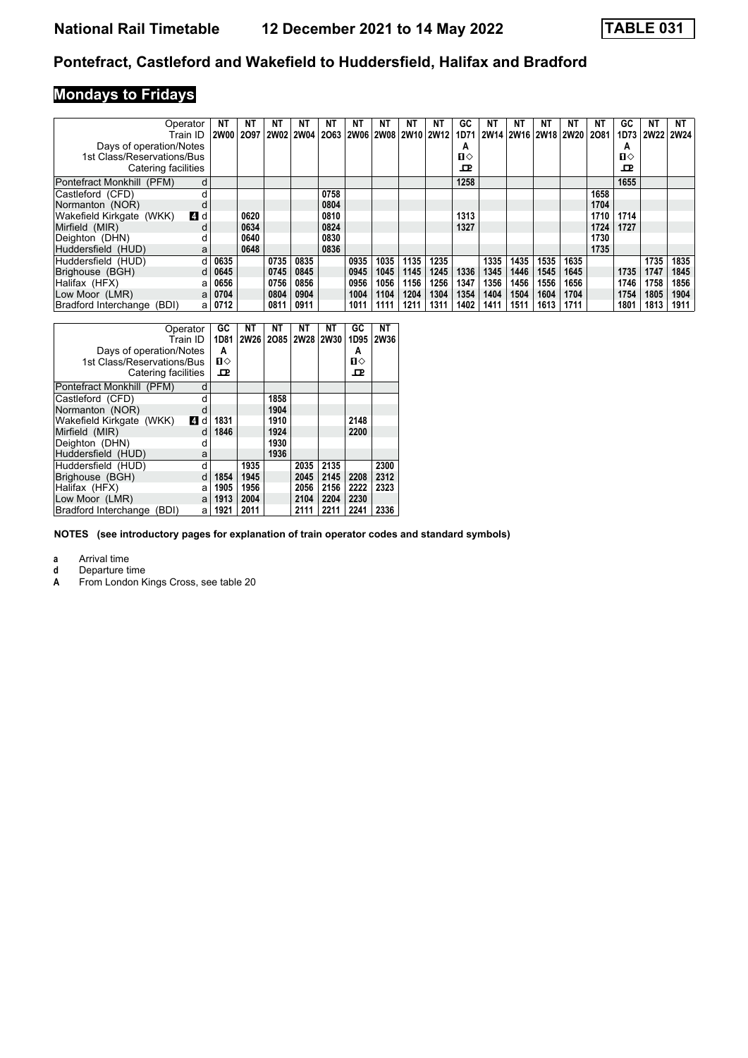# **Pontefract, Castleford and Wakefield to Huddersfield, Halifax and Bradford**

# **Mondays to Fridays**

| Operator                   |     | NT          | NΤ   | NΤ          | NT   | NT   | NΤ   | NT   | NΤ   | NT.                 | GC   | NT   | NΤ   | NT   | NΤ                  | NΤ   | GC   | <b>NT</b> | NT   |
|----------------------------|-----|-------------|------|-------------|------|------|------|------|------|---------------------|------|------|------|------|---------------------|------|------|-----------|------|
| Train ID                   |     | <b>2W00</b> | 2097 | 2W02   2W04 |      | 2063 |      |      |      | 2W06 2W08 2W10 2W12 | 1D71 |      |      |      | 2W14 2W16 2W18 2W20 | 2081 | 1D73 | 2W22 2W24 |      |
| Days of operation/Notes    |     |             |      |             |      |      |      |      |      |                     | A    |      |      |      |                     |      | А    |           |      |
| 1st Class/Reservations/Bus |     |             |      |             |      |      |      |      |      |                     | п⇔   |      |      |      |                     |      | П⇔   |           |      |
| Catering facilities        |     |             |      |             |      |      |      |      |      |                     | ᇁ    |      |      |      |                     |      | 굔    |           |      |
| Pontefract Monkhill (PFM)  | d   |             |      |             |      |      |      |      |      |                     | 1258 |      |      |      |                     |      | 1655 |           |      |
| Castleford (CFD)           |     |             |      |             |      | 0758 |      |      |      |                     |      |      |      |      |                     | 1658 |      |           |      |
| Normanton (NOR)            |     |             |      |             |      | 0804 |      |      |      |                     |      |      |      |      |                     | 1704 |      |           |      |
| Wakefield Kirkgate (WKK)   | 4 d |             | 0620 |             |      | 0810 |      |      |      |                     | 1313 |      |      |      |                     | 1710 | 1714 |           |      |
| Mirfield (MIR)             |     |             | 0634 |             |      | 0824 |      |      |      |                     | 1327 |      |      |      |                     | 1724 | 1727 |           |      |
| Deighton (DHN)             |     |             | 0640 |             |      | 0830 |      |      |      |                     |      |      |      |      |                     | 1730 |      |           |      |
| Huddersfield (HUD)         | a   |             | 0648 |             |      | 0836 |      |      |      |                     |      |      |      |      |                     | 1735 |      |           |      |
| Huddersfield (HUD)         |     | 0635        |      | 0735        | 0835 |      | 0935 | 1035 | 1135 | 1235                |      | 1335 | 1435 | 1535 | 1635                |      |      | 1735      | 1835 |
| Brighouse (BGH)            |     | 0645        |      | 0745        | 0845 |      | 0945 | 1045 | 1145 | 1245                | 1336 | 1345 | 1446 | 1545 | 1645                |      | 1735 | 1747      | 1845 |
| Halifax (HFX)              | a   | 0656        |      | 0756        | 0856 |      | 0956 | 1056 | 1156 | 1256                | 1347 | 1356 | 1456 | 1556 | 1656                |      | 1746 | 1758      | 1856 |
| Low Moor (LMR)             | a   | 0704        |      | 0804        | 0904 |      | 1004 | 1104 | 1204 | 1304                | 1354 | 1404 | 1504 | 1604 | 1704                |      | 1754 | 1805      | 1904 |
| Bradford Interchange (BDI) | а   | 0712        |      | 0811        | 0911 |      | 1011 | 1111 | 1211 | 1311                | 1402 | 1411 | 1511 | 1613 | 1711                |      | 1801 | 1813      | 1911 |

| Operator<br>Train ID<br>Days of operation/Notes<br>1st Class/Reservations/Bus<br>Catering facilities |   | GC<br>1D81<br>A<br>п⇔<br>ᇁ | NΤ<br>2W26 | NΤ   | NΤ<br>2085 2W28 2W30 | NΤ   | GC<br>1D95<br>A<br>$\mathbf{u}$<br>ᇁ | NΤ<br><b>2W36</b> |
|------------------------------------------------------------------------------------------------------|---|----------------------------|------------|------|----------------------|------|--------------------------------------|-------------------|
| Pontefract Monkhill (PFM)                                                                            | d |                            |            |      |                      |      |                                      |                   |
| Castleford (CFD)                                                                                     | d |                            |            | 1858 |                      |      |                                      |                   |
| Normanton (NOR)                                                                                      | d |                            |            | 1904 |                      |      |                                      |                   |
| Wakefield Kirkgate (WKK)<br>$\overline{A}$                                                           | d | 1831                       |            | 1910 |                      |      | 2148                                 |                   |
| Mirfield (MIR)                                                                                       | d | 1846                       |            | 1924 |                      |      | 2200                                 |                   |
| Deighton (DHN)                                                                                       | d |                            |            | 1930 |                      |      |                                      |                   |
| Huddersfield (HUD)                                                                                   | a |                            |            | 1936 |                      |      |                                      |                   |
| Huddersfield (HUD)                                                                                   | d |                            | 1935       |      | 2035                 | 2135 |                                      | 2300              |
| Brighouse (BGH)                                                                                      | d | 1854                       | 1945       |      | 2045                 | 2145 | 2208                                 | 2312              |
| Halifax (HFX)                                                                                        | a | 1905                       | 1956       |      | 2056                 | 2156 | 2222                                 | 2323              |
| Low Moor (LMR)                                                                                       | a | 1913                       | 2004       |      | 2104                 | 2204 | 2230                                 |                   |
| Bradford Interchange<br>(BDI)                                                                        | a | 1921                       | 2011       |      | 2111                 | 2211 | 2241                                 | 2336              |

**NOTES (see introductory pages for explanation of train operator codes and standard symbols)**

**a** Arrival time<br>**d** Departure time

**d** Departure time<br>**A** From London K

From London Kings Cross, see table 20